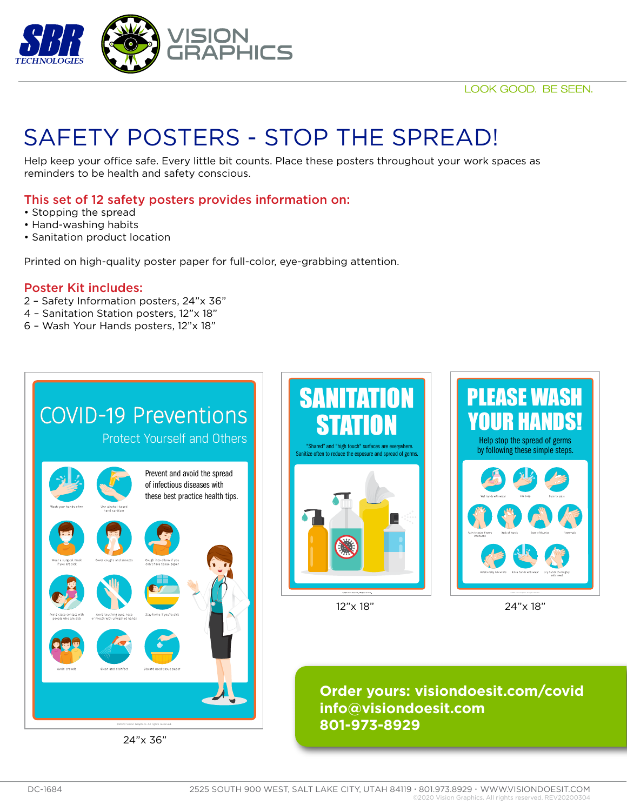

## SAFETY POSTERS - STOP THE SPREAD!

Help keep your office safe. Every little bit counts. Place these posters throughout your work spaces as reminders to be health and safety conscious.

## This set of 12 safety posters provides information on:

- Stopping the spread
- Hand-washing habits
- Sanitation product location

Printed on high-quality poster paper for full-color, eye-grabbing attention.

#### Poster Kit includes:

- 2 Safety Information posters, 24"x 36"
- 4 Sanitation Station posters, 12"x 18"
- 6 Wash Your Hands posters, 12"x 18"

|                                                 |                                                           | <b>COVID-19 Preventions</b><br><b>Protect Yourself and Others</b>                               |
|-------------------------------------------------|-----------------------------------------------------------|-------------------------------------------------------------------------------------------------|
| Wash your hands often                           | Use alcohol-based<br>hand sanitizer                       | Prevent and avoid the spread<br>of infectious diseases with<br>these best practice health tips. |
| Wear a surgical mask<br>if you are sick         | Cover coughs and sneezes                                  | Cough into elbow if you<br>don't have tissue paper                                              |
| Avoid close contact with<br>people who are sick | Avoid touching eyes, nose<br>or mouth with unwashed hands | Stay home if you're sick                                                                        |
| Avoid crowds                                    | Clean and disinfect                                       | Discard used tissue paper                                                                       |
|                                                 |                                                           |                                                                                                 |

24"x 36"





12"x 18" 24"x 18"

**Order yours: visiondoesit.com/covid info@visiondoesit.com 801-973-8929**